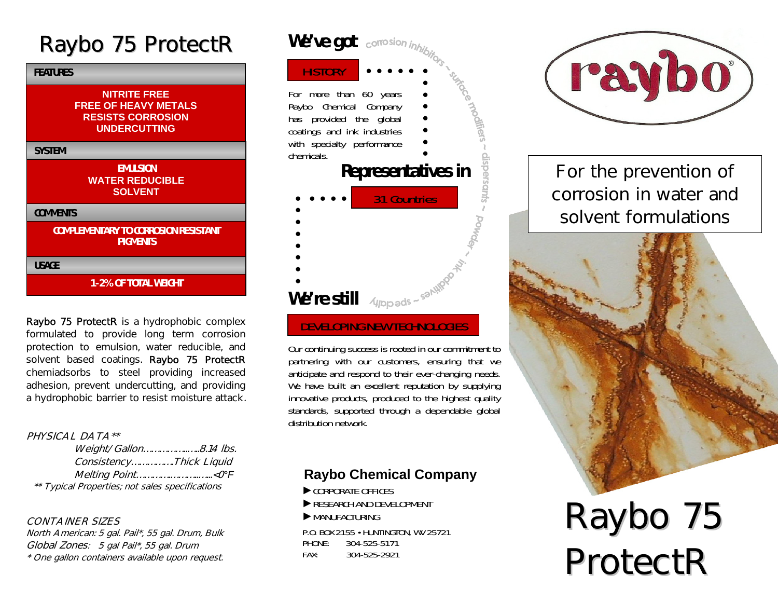# Raybo 75 ProtectR

| <b>FEATURES</b>                                                                                       |
|-------------------------------------------------------------------------------------------------------|
| <b>NITRITE FREE</b><br><b>FREE OF HEAVY METALS</b><br><b>RESISTS CORROSION</b><br><b>UNDERCUTTING</b> |
| <b>SYSTEM</b>                                                                                         |
| <b>EMULSION</b><br><b>WATER REDUCIBLE</b><br><b>SOLVENT</b>                                           |
| <b>COMMENTS</b>                                                                                       |
| <b>COMPLEMENTARY TO CORROSION RESISTANT</b><br><b>PIGMENTS</b>                                        |
| <b>USAGE</b>                                                                                          |
| <b>1-2% OF TOTAL WEIGHT</b>                                                                           |

Raybo 75 ProtectR is a hydrophobic complex formulated to provide long term corrosion protection to emulsion, water reducible, and solvent based coatings. Raybo 75 ProtectR chemiadsorbs to steel providing increased adhesion, prevent undercutting, and providing a hydrophobic barrier to resist moisture attack.

#### PHYSICAL DATA\*\*

| Weight/Gallon8.14 lbs.                          |  |
|-------------------------------------------------|--|
| ConsistencyThick Liquid                         |  |
| Melting Point< O°F                              |  |
| ** Typical Properties; not sales specifications |  |

#### CONTAINER SIZES

North American: 5 gal. Pail\*, 55 gal. Drum, Bulk Global Zones: 5 gal Pail\*, 55 gal. Drum \* One gallon containers available upon request.



#### DEVELOPING NEW TECHNOLOGIES

Our continuing success is rooted in our commitment to partnering with our customers, ensuring that we anticipate and respond to their ever-changing needs. We have built an excellent reputation by supplying innovative products, produced to the highest quality standards, supported through a dependable global distribution network.

#### **Raybo Chemical Company**

- ►CORPORATE OFFICES
- ► RESEARCH AND DEVELOPMENT
- ►MANUFACTURING

P.O. BOX 2155 • HUNTINGTON, WV 25721 PHONE: 304-525-5171 FAX: 304-525-2921



For the prevention of corrosion in water and solvent formulations



# R a y b o 7 5 ProtectR